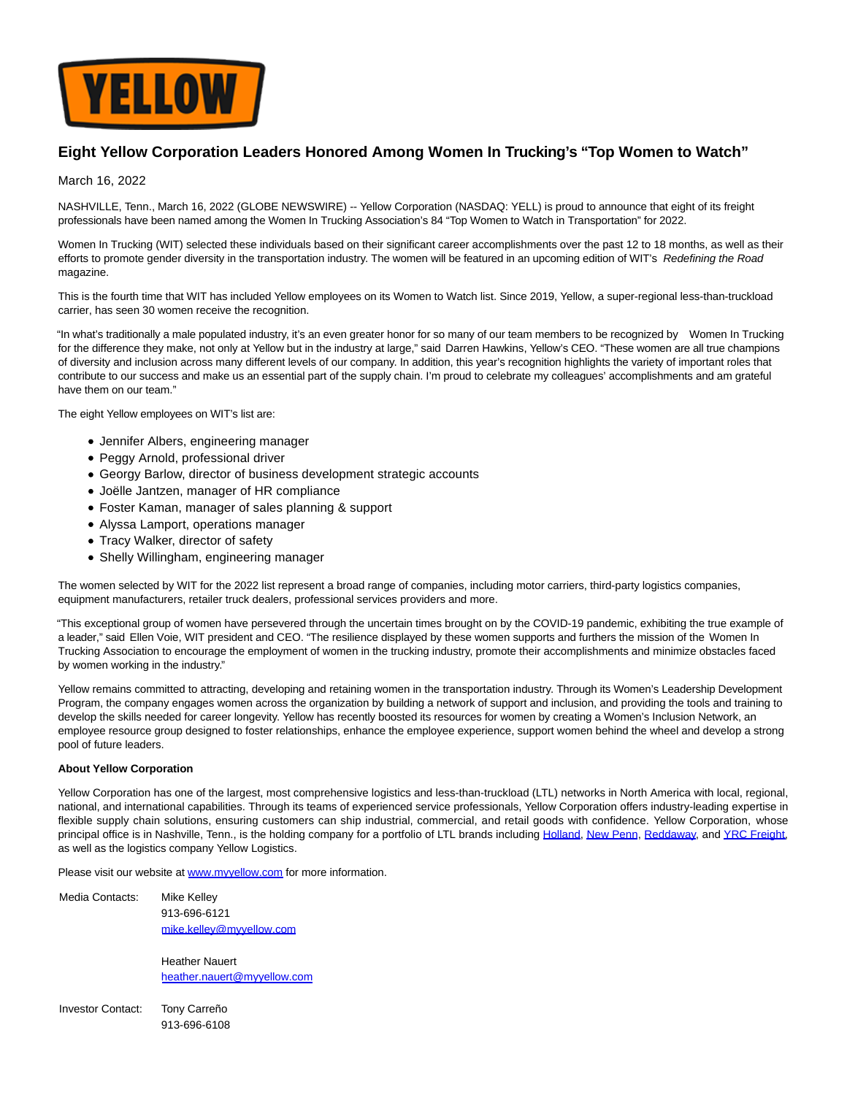

## **Eight Yellow Corporation Leaders Honored Among Women In Trucking's "Top Women to Watch"**

## March 16, 2022

NASHVILLE, Tenn., March 16, 2022 (GLOBE NEWSWIRE) -- Yellow Corporation (NASDAQ: YELL) is proud to announce that eight of its freight professionals have been named among the Women In Trucking Association's 84 "Top Women to Watch in Transportation" for 2022.

Women In Trucking (WIT) selected these individuals based on their significant career accomplishments over the past 12 to 18 months, as well as their efforts to promote gender diversity in the transportation industry. The women will be featured in an upcoming edition of WIT's Redefining the Road magazine.

This is the fourth time that WIT has included Yellow employees on its Women to Watch list. Since 2019, Yellow, a super-regional less-than-truckload carrier, has seen 30 women receive the recognition.

"In what's traditionally a male populated industry, it's an even greater honor for so many of our team members to be recognized by Women In Trucking for the difference they make, not only at Yellow but in the industry at large," said Darren Hawkins, Yellow's CEO. "These women are all true champions of diversity and inclusion across many different levels of our company. In addition, this year's recognition highlights the variety of important roles that contribute to our success and make us an essential part of the supply chain. I'm proud to celebrate my colleagues' accomplishments and am grateful have them on our team."

The eight Yellow employees on WIT's list are:

- Jennifer Albers, engineering manager
- Peggy Arnold, professional driver
- Georgy Barlow, director of business development strategic accounts
- Joëlle Jantzen, manager of HR compliance
- Foster Kaman, manager of sales planning & support
- Alyssa Lamport, operations manager
- Tracy Walker, director of safety
- Shelly Willingham, engineering manager

The women selected by WIT for the 2022 list represent a broad range of companies, including motor carriers, third-party logistics companies, equipment manufacturers, retailer truck dealers, professional services providers and more.

"This exceptional group of women have persevered through the uncertain times brought on by the COVID-19 pandemic, exhibiting the true example of a leader," said Ellen Voie, WIT president and CEO. "The resilience displayed by these women supports and furthers the mission of the Women In Trucking Association to encourage the employment of women in the trucking industry, promote their accomplishments and minimize obstacles faced by women working in the industry."

Yellow remains committed to attracting, developing and retaining women in the transportation industry. Through its Women's Leadership Development Program, the company engages women across the organization by building a network of support and inclusion, and providing the tools and training to develop the skills needed for career longevity. Yellow has recently boosted its resources for women by creating a Women's Inclusion Network, an employee resource group designed to foster relationships, enhance the employee experience, support women behind the wheel and develop a strong pool of future leaders.

## **About Yellow Corporation**

Yellow Corporation has one of the largest, most comprehensive logistics and less-than-truckload (LTL) networks in North America with local, regional, national, and international capabilities. Through its teams of experienced service professionals, Yellow Corporation offers industry-leading expertise in flexible supply chain solutions, ensuring customers can ship industrial, commercial, and retail goods with confidence. Yellow Corporation, whose principal office is in Nashville, Tenn., is the holding company for a portfolio of LTL brands including [Holland,](https://www.globenewswire.com/Tracker?data=oGLCwKlmbinmerWaer8hnk8VbIebY3tZSfJFqcSEQcnvbnEJHueSS8Or-V5rJdDNrxcJk6Rz9qTKqGE42CQcgg==) [New Penn,](https://www.globenewswire.com/Tracker?data=BeP2jGkG2w7_Lp_ai9PMrFkoLObiAvFjWn1VLvtpl-2dWEfoM1dlXr8XX6iD1Jvn7GJprJmdvXd60CKghp6poA==) [Reddaway,](https://www.globenewswire.com/Tracker?data=R7VPbOus93P-089gJcPydUi13CqIYVJkM6o8_oTcXDujC6G7QFL5GvHmkiHfnGcZTA_btI69yxRY0GjrRK5u4AvIwuVu_iHpXdQa_om4qmoMnstEtwky47PlJHL1WlaQ) an[d YRC Freight,](https://www.globenewswire.com/Tracker?data=mEZKUPIo-2u1rglmCfVRu0JzxuIgJS9nUmhvPG7tBSTY52btKzpIUKX2HrRgIQF7oRich3czqa1eKq0Q7uVdMw==) as well as the logistics company Yellow Logistics.

Please visit our website at [www.myyellow.com f](https://www.globenewswire.com/Tracker?data=Bq94v1sNlWP7X5ZVDgF2kO7f7qk8MVVEaxRgGmXLAh7xeqPbqHQQZfDMkOHRQyrtsvut8f7VNg5q99P6HpJKlg==)or more information.

Media Contacts: Mike Kelley 913-696-6121 [mike.kelley@myyellow.com](mailto:mike.kelley@myyellow.com)

> Heather Nauert [heather.nauert@myyellow.com](mailto:heather.nauert@myyellow.com)

Investor Contact: Tony Carreño 913-696-6108